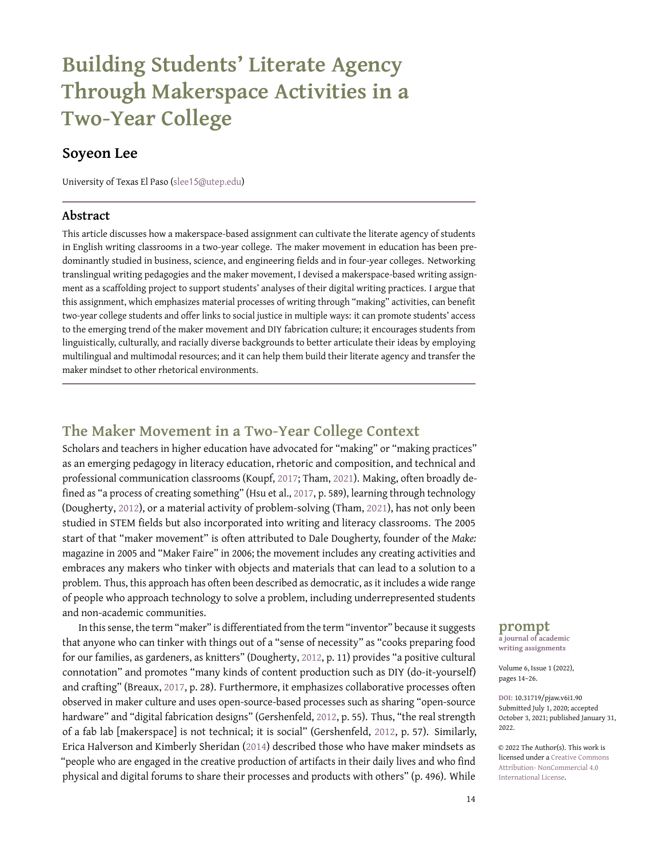# **Building Students' Literate Agency Through Makerspace Activities in a Two-Year College**

## **Soyeon Lee**

University of Texas El Paso (slee15[@utep.edu\)](slee15@utep.edu)

#### **Abstract**

This article discusses how a makerspace-based assignment can cultivate the literate agency of students in English writing classrooms in a two-year college. The maker movement in education has been predominantly studied in business, science, and engineering fields and in four-year colleges. Networking translingual writing pedagogies and the maker movement, I devised a makerspace-based writing assignment as a scaffolding project to support students' analyses of their digital writing practices. I argue that this assignment, which emphasizes material processes of writing through "making" activities, can benefit two-year college students and offer links to social justice in multiple ways: it can promote students' access to the emerging trend of the maker movement and DIY fabrication culture; it encourages students from linguistically, culturally, and racially diverse backgrounds to better articulate their ideas by employing multilingual and multimodal resources; and it can help them build their literate agency and transfer the maker mindset to other rhetorical environments.

## **The Maker Movement in a Two-Year College Context**

Scholars and teachers in higher education have advocated for "making" or "making practices" as an emerging pedagogy in literacy education, rhetoric and composition, and technical and professional communication classrooms (Koupf, [2017;](#page-11-0) Tham, [2021\)](#page-12-0). Making, often broadly defined as "a process of creating something" (Hsu et al., [2017,](#page-11-1) p. 589), learning through technology (Dougherty, [2012\)](#page-11-2), or a material activity of problem-solving (Tham, [2021\)](#page-12-0), has not only been studied in STEM fields but also incorporated into writing and literacy classrooms. The 2005 start of that "maker movement" is often attributed to Dale Dougherty, founder of the *Make:* magazine in 2005 and "Maker Faire" in 2006; the movement includes any creating activities and embraces any makers who tinker with objects and materials that can lead to a solution to a problem. Thus, this approach has often been described as democratic, as it includes a wide range of people who approach technology to solve a problem, including underrepresented students and non-academic communities.

In this sense, the term "maker" is differentiated from the term "inventor" because it suggests that anyone who can tinker with things out of a "sense of necessity" as "cooks preparing food for our families, as gardeners, as knitters" (Dougherty, [2012,](#page-11-2) p. 11) provides "a positive cultural connotation" and promotes "many kinds of content production such as DIY (do-it-yourself) and crafting" (Breaux, [2017,](#page-11-3) p. 28). Furthermore, it emphasizes collaborative processes often observed in maker culture and uses open-source-based processes such as sharing "open-source hardware" and "digital fabrication designs" (Gershenfeld, [2012,](#page-11-4) p. 55). Thus, "the real strength of a fab lab [makerspace] is not technical; it is social" (Gershenfeld, [2012,](#page-11-4) p. 57). Similarly, Erica Halverson and Kimberly Sheridan [\(2014\)](#page-11-5) described those who have maker mindsets as "people who are engaged in the creative production of artifacts in their daily lives and who find physical and digital forums to share their processes and products with others" (p. 496). While

#### **prompt**

**a journal of academic writing assignments**

Volume 6, Issue 1 (2022), pages 14–26.

**DOI:** 10.31719/pjaw.v6i1.90 Submitted July 1, 2020; accepted October 3, 2021; published January 31, 2022.

© 2022 The Author(s). This work is licensed under a [Creative Commons](http://creativecommons.org/licenses/by-nc/4.0/) [Attribution- NonCommercial 4.0](http://creativecommons.org/licenses/by-nc/4.0/) [International License.](http://creativecommons.org/licenses/by-nc/4.0/)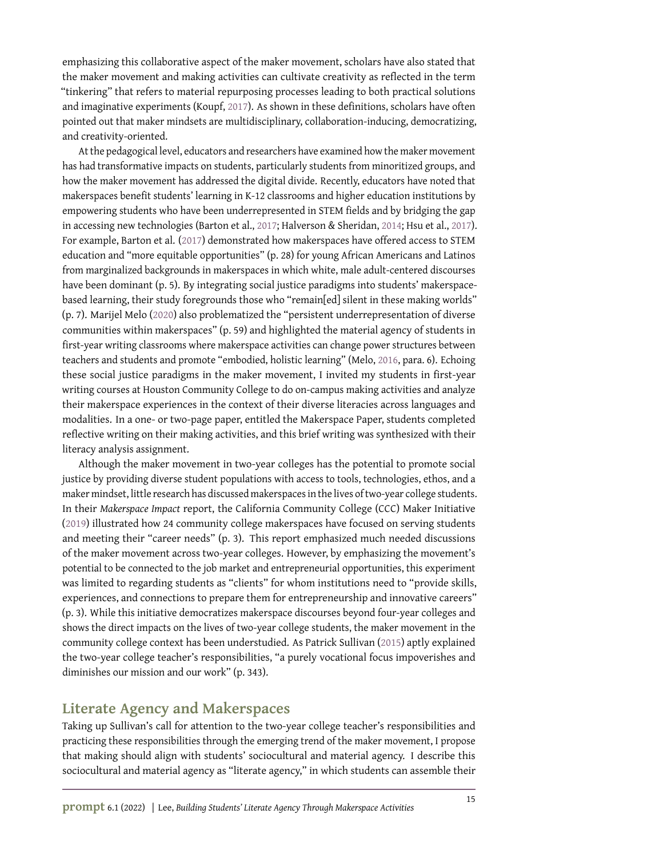emphasizing this collaborative aspect of the maker movement, scholars have also stated that the maker movement and making activities can cultivate creativity as reflected in the term "tinkering" that refers to material repurposing processes leading to both practical solutions and imaginative experiments (Koupf, [2017\)](#page-11-0). As shown in these definitions, scholars have often pointed out that maker mindsets are multidisciplinary, collaboration-inducing, democratizing, and creativity-oriented.

At the pedagogical level, educators and researchers have examined how the maker movement has had transformative impacts on students, particularly students from minoritized groups, and how the maker movement has addressed the digital divide. Recently, educators have noted that makerspaces benefit students' learning in K-12 classrooms and higher education institutions by empowering students who have been underrepresented in STEM fields and by bridging the gap in accessing new technologies (Barton et al., [2017;](#page-11-6) Halverson & Sheridan, [2014;](#page-11-5) Hsu et al., [2017\)](#page-11-1). For example, Barton et al. [\(2017\)](#page-11-6) demonstrated how makerspaces have offered access to STEM education and "more equitable opportunities" (p. 28) for young African Americans and Latinos from marginalized backgrounds in makerspaces in which white, male adult-centered discourses have been dominant (p. 5). By integrating social justice paradigms into students' makerspacebased learning, their study foregrounds those who "remain[ed] silent in these making worlds" (p. 7). Marijel Melo [\(2020\)](#page-12-1) also problematized the "persistent underrepresentation of diverse communities within makerspaces" (p. 59) and highlighted the material agency of students in first-year writing classrooms where makerspace activities can change power structures between teachers and students and promote "embodied, holistic learning" (Melo, [2016,](#page-12-2) para. 6). Echoing these social justice paradigms in the maker movement, I invited my students in first-year writing courses at Houston Community College to do on-campus making activities and analyze their makerspace experiences in the context of their diverse literacies across languages and modalities. In a one- or two-page paper, entitled the Makerspace Paper, students completed reflective writing on their making activities, and this brief writing was synthesized with their literacy analysis assignment.

Although the maker movement in two-year colleges has the potential to promote social justice by providing diverse student populations with access to tools, technologies, ethos, and a maker mindset, little research has discussed makerspaces in the lives of two-year college students. In their *Makerspace Impact* report, the California Community College (CCC) Maker Initiative [\(2019\)](#page-11-7) illustrated how 24 community college makerspaces have focused on serving students and meeting their "career needs" (p. 3). This report emphasized much needed discussions of the maker movement across two-year colleges. However, by emphasizing the movement's potential to be connected to the job market and entrepreneurial opportunities, this experiment was limited to regarding students as "clients" for whom institutions need to "provide skills, experiences, and connections to prepare them for entrepreneurship and innovative careers" (p. 3). While this initiative democratizes makerspace discourses beyond four-year colleges and shows the direct impacts on the lives of two-year college students, the maker movement in the community college context has been understudied. As Patrick Sullivan [\(2015\)](#page-12-3) aptly explained the two-year college teacher's responsibilities, "a purely vocational focus impoverishes and diminishes our mission and our work" (p. 343).

# **Literate Agency and Makerspaces**

Taking up Sullivan's call for attention to the two-year college teacher's responsibilities and practicing these responsibilities through the emerging trend of the maker movement, I propose that making should align with students' sociocultural and material agency. I describe this sociocultural and material agency as "literate agency," in which students can assemble their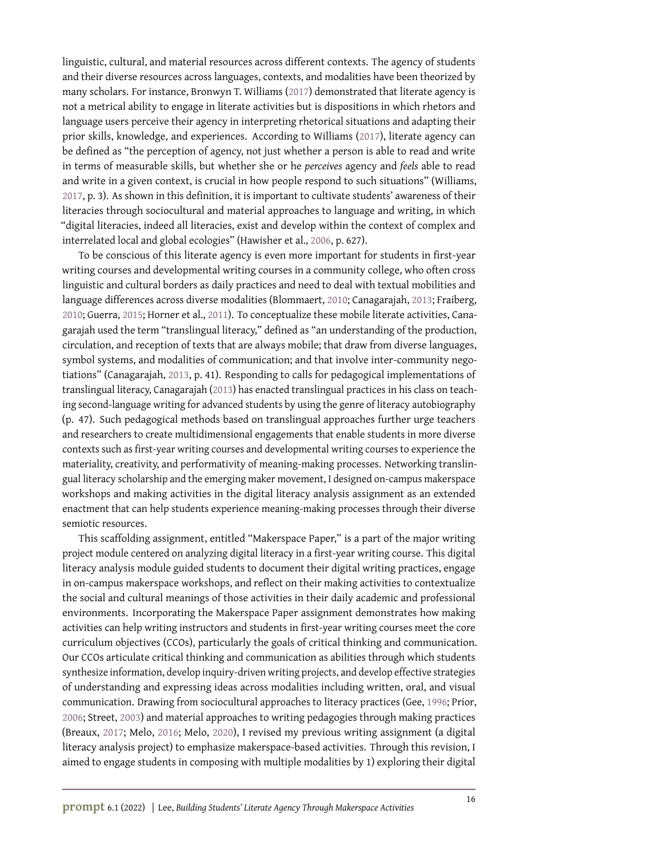linguistic, cultural, and material resources across different contexts. The agency of students and their diverse resources across languages, contexts, and modalities have been theorized by many scholars. For instance, Bronwyn T. Williams [\(2017\)](#page-12-4) demonstrated that literate agency is not a metrical ability to engage in literate activities but is dispositions in which rhetors and language users perceive their agency in interpreting rhetorical situations and adapting their prior skills, knowledge, and experiences. According to Williams [\(2017\)](#page-12-4), literate agency can be defined as "the perception of agency, not just whether a person is able to read and write in terms of measurable skills, but whether she or he *perceives* agency and *feels* able to read and write in a given context, is crucial in how people respond to such situations" (Williams, [2017,](#page-12-4) p. 3). As shown in this definition, it is important to cultivate students' awareness of their literacies through sociocultural and material approaches to language and writing, in which "digital literacies, indeed all literacies, exist and develop within the context of complex and interrelated local and global ecologies" (Hawisher et al., [2006,](#page-11-8) p. 627).

To be conscious of this literate agency is even more important for students in first-year writing courses and developmental writing courses in a community college, who often cross linguistic and cultural borders as daily practices and need to deal with textual mobilities and language differences across diverse modalities (Blommaert, [2010;](#page-11-9) Canagarajah, [2013;](#page-11-10) Fraiberg, [2010;](#page-11-11) Guerra, [2015;](#page-11-12) Horner et al., [2011\)](#page-11-13). To conceptualize these mobile literate activities, Canagarajah used the term "translingual literacy," defined as "an understanding of the production, circulation, and reception of texts that are always mobile; that draw from diverse languages, symbol systems, and modalities of communication; and that involve inter-community negotiations" (Canagarajah, [2013,](#page-11-10) p. 41). Responding to calls for pedagogical implementations of translingual literacy, Canagarajah [\(2013\)](#page-11-10) has enacted translingual practices in his class on teaching second-language writing for advanced students by using the genre of literacy autobiography (p. 47). Such pedagogical methods based on translingual approaches further urge teachers and researchers to create multidimensional engagements that enable students in more diverse contexts such as first-year writing courses and developmental writing courses to experience the materiality, creativity, and performativity of meaning-making processes. Networking translingual literacy scholarship and the emerging maker movement, I designed on-campus makerspace workshops and making activities in the digital literacy analysis assignment as an extended enactment that can help students experience meaning-making processes through their diverse semiotic resources.

This scaffolding assignment, entitled "Makerspace Paper," is a part of the major writing project module centered on analyzing digital literacy in a first-year writing course. This digital literacy analysis module guided students to document their digital writing practices, engage in on-campus makerspace workshops, and reflect on their making activities to contextualize the social and cultural meanings of those activities in their daily academic and professional environments. Incorporating the Makerspace Paper assignment demonstrates how making activities can help writing instructors and students in first-year writing courses meet the core curriculum objectives (CCOs), particularly the goals of critical thinking and communication. Our CCOs articulate critical thinking and communication as abilities through which students synthesize information, develop inquiry-driven writing projects, and develop effective strategies of understanding and expressing ideas across modalities including written, oral, and visual communication. Drawing from sociocultural approaches to literacy practices (Gee, [1996;](#page-11-14) Prior, [2006;](#page-12-5) Street, [2003\)](#page-12-6) and material approaches to writing pedagogies through making practices (Breaux, [2017;](#page-11-3) Melo, [2016;](#page-12-2) Melo, [2020\)](#page-12-1), I revised my previous writing assignment (a digital literacy analysis project) to emphasize makerspace-based activities. Through this revision, I aimed to engage students in composing with multiple modalities by 1) exploring their digital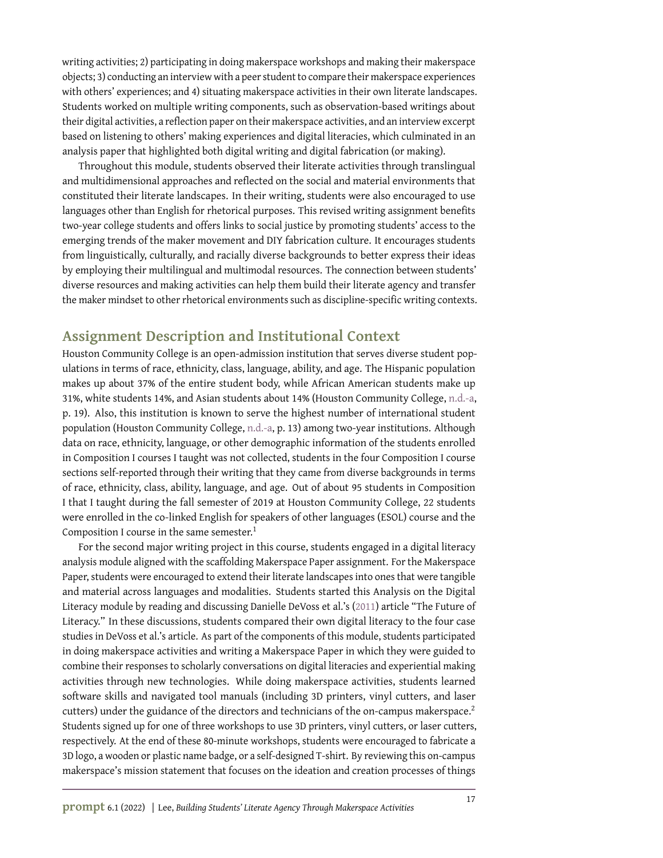writing activities; 2) participating in doing makerspace workshops and making their makerspace objects; 3) conducting an interview with a peer student to compare their makerspace experiences with others' experiences; and 4) situating makerspace activities in their own literate landscapes. Students worked on multiple writing components, such as observation-based writings about their digital activities, a reflection paper on their makerspace activities, and an interview excerpt based on listening to others' making experiences and digital literacies, which culminated in an analysis paper that highlighted both digital writing and digital fabrication (or making).

Throughout this module, students observed their literate activities through translingual and multidimensional approaches and reflected on the social and material environments that constituted their literate landscapes. In their writing, students were also encouraged to use languages other than English for rhetorical purposes. This revised writing assignment benefits two-year college students and offers links to social justice by promoting students' access to the emerging trends of the maker movement and DIY fabrication culture. It encourages students from linguistically, culturally, and racially diverse backgrounds to better express their ideas by employing their multilingual and multimodal resources. The connection between students' diverse resources and making activities can help them build their literate agency and transfer the maker mindset to other rhetorical environments such as discipline-specific writing contexts.

## **Assignment Description and Institutional Context**

Houston Community College is an open-admission institution that serves diverse student populations in terms of race, ethnicity, class, language, ability, and age. The Hispanic population makes up about 37% of the entire student body, while African American students make up 31%, white students 14%, and Asian students about 14% (Houston Community College, [n.d.-a,](#page-11-15) p. 19). Also, this institution is known to serve the highest number of international student population (Houston Community College, [n.d.-a,](#page-11-15) p. 13) among two-year institutions. Although data on race, ethnicity, language, or other demographic information of the students enrolled in Composition I courses I taught was not collected, students in the four Composition I course sections self-reported through their writing that they came from diverse backgrounds in terms of race, ethnicity, class, ability, language, and age. Out of about 95 students in Composition I that I taught during the fall semester of 2019 at Houston Community College, 22 students were enrolled in the co-linked English for speakers of other languages (ESOL) course and the Composition I course in the same semester. $1$ 

For the second major writing project in this course, students engaged in a digital literacy analysis module aligned with the scaffolding Makerspace Paper assignment. For the Makerspace Paper, students were encouraged to extend their literate landscapes into ones that were tangible and material across languages and modalities. Students started this Analysis on the Digital Literacy module by reading and discussing Danielle DeVoss et al.'s [\(2011\)](#page-11-16) article "The Future of Literacy." In these discussions, students compared their own digital literacy to the four case studies in DeVoss et al.'s article. As part of the components of this module, students participated in doing makerspace activities and writing a Makerspace Paper in which they were guided to combine their responses to scholarly conversations on digital literacies and experiential making activities through new technologies. While doing makerspace activities, students learned software skills and navigated tool manuals (including 3D printers, vinyl cutters, and laser cutters) under the guidance of the directors and technicians of the on-campus makerspace.<sup>2</sup> Students signed up for one of three workshops to use 3D printers, vinyl cutters, or laser cutters, respectively. At the end of these 80-minute workshops, students were encouraged to fabricate a 3D logo, a wooden or plastic name badge, or a self-designed T-shirt. By reviewing this on-campus makerspace's mission statement that focuses on the ideation and creation processes of things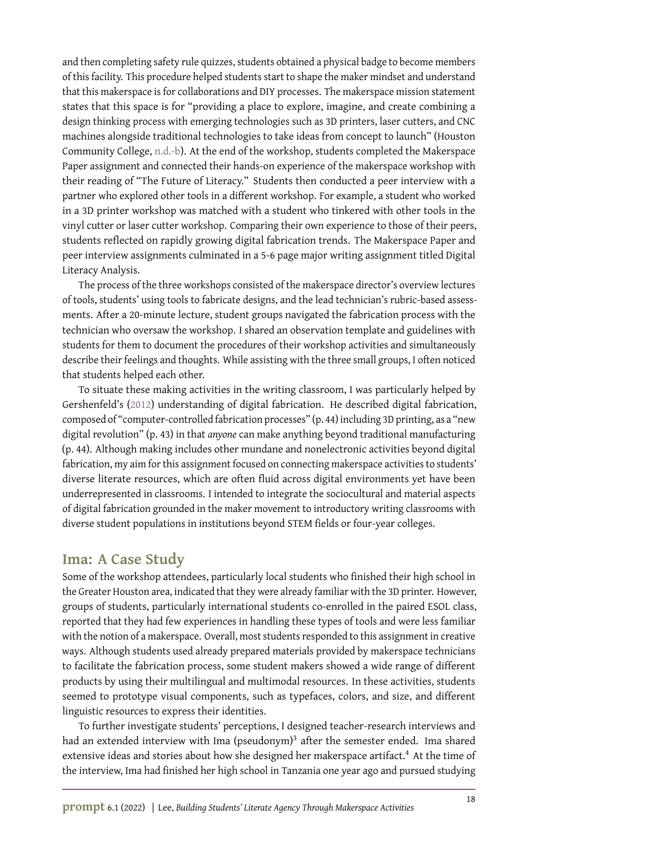and then completing safety rule quizzes, students obtained a physical badge to become members of this facility. This procedure helped students start to shape the maker mindset and understand that this makerspace is for collaborations and DIY processes. The makerspace mission statement states that this space is for "providing a place to explore, imagine, and create combining a design thinking process with emerging technologies such as 3D printers, laser cutters, and CNC machines alongside traditional technologies to take ideas from concept to launch" (Houston Community College, [n.d.-b\)](#page-11-17). At the end of the workshop, students completed the Makerspace Paper assignment and connected their hands-on experience of the makerspace workshop with their reading of "The Future of Literacy." Students then conducted a peer interview with a partner who explored other tools in a different workshop. For example, a student who worked in a 3D printer workshop was matched with a student who tinkered with other tools in the vinyl cutter or laser cutter workshop. Comparing their own experience to those of their peers, students reflected on rapidly growing digital fabrication trends. The Makerspace Paper and peer interview assignments culminated in a 5-6 page major writing assignment titled Digital Literacy Analysis.

The process of the three workshops consisted of the makerspace director's overview lectures of tools, students' using tools to fabricate designs, and the lead technician's rubric-based assessments. After a 20-minute lecture, student groups navigated the fabrication process with the technician who oversaw the workshop. I shared an observation template and guidelines with students for them to document the procedures of their workshop activities and simultaneously describe their feelings and thoughts. While assisting with the three small groups, I often noticed that students helped each other.

To situate these making activities in the writing classroom, I was particularly helped by Gershenfeld's [\(2012\)](#page-11-4) understanding of digital fabrication. He described digital fabrication, composed of "computer-controlled fabrication processes" (p. 44) including 3D printing, as a "new digital revolution" (p. 43) in that *anyone* can make anything beyond traditional manufacturing (p. 44). Although making includes other mundane and nonelectronic activities beyond digital fabrication, my aim for this assignment focused on connecting makerspace activities to students' diverse literate resources, which are often fluid across digital environments yet have been underrepresented in classrooms. I intended to integrate the sociocultural and material aspects of digital fabrication grounded in the maker movement to introductory writing classrooms with diverse student populations in institutions beyond STEM fields or four-year colleges.

### **Ima: A Case Study**

Some of the workshop attendees, particularly local students who finished their high school in the Greater Houston area, indicated that they were already familiar with the 3D printer. However, groups of students, particularly international students co-enrolled in the paired ESOL class, reported that they had few experiences in handling these types of tools and were less familiar with the notion of a makerspace. Overall, most students responded to this assignment in creative ways. Although students used already prepared materials provided by makerspace technicians to facilitate the fabrication process, some student makers showed a wide range of different products by using their multilingual and multimodal resources. In these activities, students seemed to prototype visual components, such as typefaces, colors, and size, and different linguistic resources to express their identities.

To further investigate students' perceptions, I designed teacher-research interviews and had an extended interview with Ima (pseudonym) $^3$  after the semester ended. Ima shared extensive ideas and stories about how she designed her makerspace artifact.<sup>4</sup> At the time of the interview, Ima had finished her high school in Tanzania one year ago and pursued studying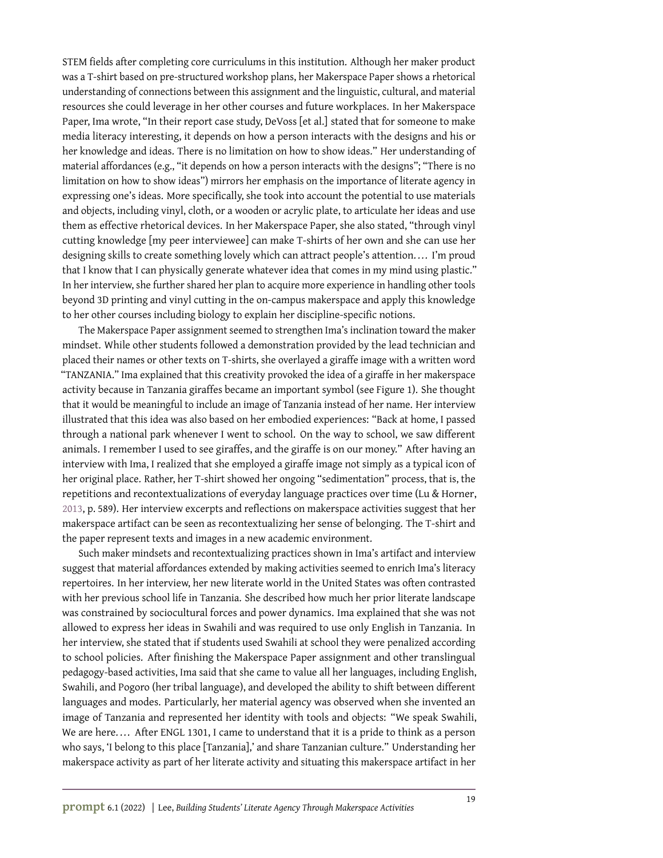STEM fields after completing core curriculums in this institution. Although her maker product was a T-shirt based on pre-structured workshop plans, her Makerspace Paper shows a rhetorical understanding of connections between this assignment and the linguistic, cultural, and material resources she could leverage in her other courses and future workplaces. In her Makerspace Paper, Ima wrote, "In their report case study, DeVoss [et al.] stated that for someone to make media literacy interesting, it depends on how a person interacts with the designs and his or her knowledge and ideas. There is no limitation on how to show ideas." Her understanding of material affordances (e.g., "it depends on how a person interacts with the designs"; "There is no limitation on how to show ideas") mirrors her emphasis on the importance of literate agency in expressing one's ideas. More specifically, she took into account the potential to use materials and objects, including vinyl, cloth, or a wooden or acrylic plate, to articulate her ideas and use them as effective rhetorical devices. In her Makerspace Paper, she also stated, "through vinyl cutting knowledge [my peer interviewee] can make T-shirts of her own and she can use her designing skills to create something lovely which can attract people's attention. ... I'm proud that I know that I can physically generate whatever idea that comes in my mind using plastic." In her interview, she further shared her plan to acquire more experience in handling other tools beyond 3D printing and vinyl cutting in the on-campus makerspace and apply this knowledge to her other courses including biology to explain her discipline-specific notions.

The Makerspace Paper assignment seemed to strengthen Ima's inclination toward the maker mindset. While other students followed a demonstration provided by the lead technician and placed their names or other texts on T-shirts, she overlayed a giraffe image with a written word "TANZANIA." Ima explained that this creativity provoked the idea of a giraffe in her makerspace activity because in Tanzania giraffes became an important symbol (see Figure 1). She thought that it would be meaningful to include an image of Tanzania instead of her name. Her interview illustrated that this idea was also based on her embodied experiences: "Back at home, I passed through a national park whenever I went to school. On the way to school, we saw different animals. I remember I used to see giraffes, and the giraffe is on our money." After having an interview with Ima, I realized that she employed a giraffe image not simply as a typical icon of her original place. Rather, her T-shirt showed her ongoing "sedimentation" process, that is, the repetitions and recontextualizations of everyday language practices over time (Lu & Horner, [2013,](#page-12-7) p. 589). Her interview excerpts and reflections on makerspace activities suggest that her makerspace artifact can be seen as recontextualizing her sense of belonging. The T-shirt and the paper represent texts and images in a new academic environment.

Such maker mindsets and recontextualizing practices shown in Ima's artifact and interview suggest that material affordances extended by making activities seemed to enrich Ima's literacy repertoires. In her interview, her new literate world in the United States was often contrasted with her previous school life in Tanzania. She described how much her prior literate landscape was constrained by sociocultural forces and power dynamics. Ima explained that she was not allowed to express her ideas in Swahili and was required to use only English in Tanzania. In her interview, she stated that if students used Swahili at school they were penalized according to school policies. After finishing the Makerspace Paper assignment and other translingual pedagogy-based activities, Ima said that she came to value all her languages, including English, Swahili, and Pogoro (her tribal language), and developed the ability to shift between different languages and modes. Particularly, her material agency was observed when she invented an image of Tanzania and represented her identity with tools and objects: "We speak Swahili, We are here.... After ENGL 1301, I came to understand that it is a pride to think as a person who says, 'I belong to this place [Tanzania],' and share Tanzanian culture." Understanding her makerspace activity as part of her literate activity and situating this makerspace artifact in her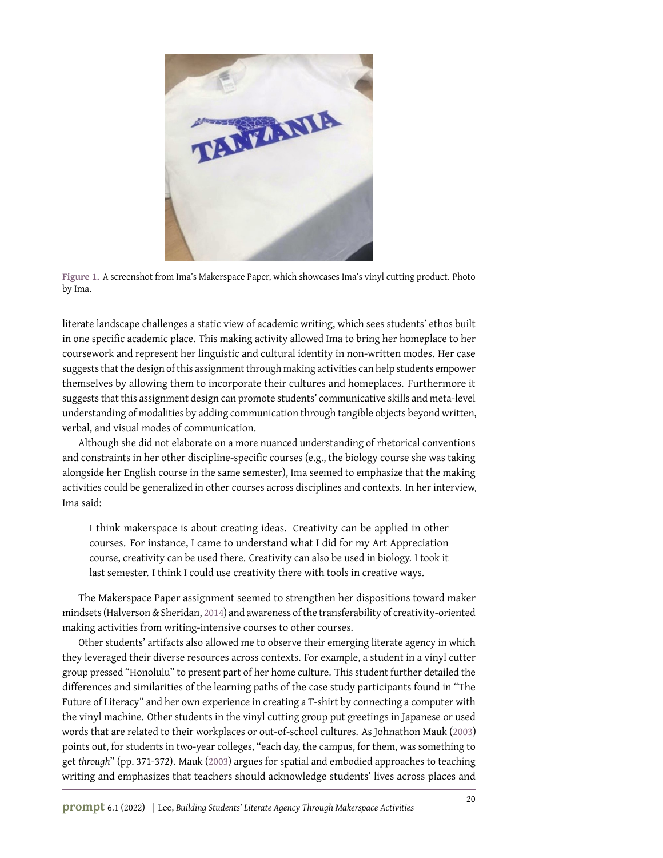

**Figure 1.** A screenshot from Ima's Makerspace Paper, which showcases Ima's vinyl cutting product. Photo by Ima.

literate landscape challenges a static view of academic writing, which sees students' ethos built in one specific academic place. This making activity allowed Ima to bring her homeplace to her coursework and represent her linguistic and cultural identity in non-written modes. Her case suggests that the design of this assignment through making activities can help students empower themselves by allowing them to incorporate their cultures and homeplaces. Furthermore it suggests that this assignment design can promote students' communicative skills and meta-level understanding of modalities by adding communication through tangible objects beyond written, verbal, and visual modes of communication.

Although she did not elaborate on a more nuanced understanding of rhetorical conventions and constraints in her other discipline-specific courses (e.g., the biology course she was taking alongside her English course in the same semester), Ima seemed to emphasize that the making activities could be generalized in other courses across disciplines and contexts. In her interview, Ima said:

I think makerspace is about creating ideas. Creativity can be applied in other courses. For instance, I came to understand what I did for my Art Appreciation course, creativity can be used there. Creativity can also be used in biology. I took it last semester. I think I could use creativity there with tools in creative ways.

The Makerspace Paper assignment seemed to strengthen her dispositions toward maker mindsets (Halverson & Sheridan, [2014\)](#page-11-5) and awareness of the transferability of creativity-oriented making activities from writing-intensive courses to other courses.

Other students' artifacts also allowed me to observe their emerging literate agency in which they leveraged their diverse resources across contexts. For example, a student in a vinyl cutter group pressed "Honolulu" to present part of her home culture. This student further detailed the differences and similarities of the learning paths of the case study participants found in "The Future of Literacy" and her own experience in creating a T-shirt by connecting a computer with the vinyl machine. Other students in the vinyl cutting group put greetings in Japanese or used words that are related to their workplaces or out-of-school cultures. As Johnathon Mauk [\(2003\)](#page-12-8) points out, for students in two-year colleges, "each day, the campus, for them, was something to get *through*" (pp. 371-372). Mauk [\(2003\)](#page-12-8) argues for spatial and embodied approaches to teaching writing and emphasizes that teachers should acknowledge students' lives across places and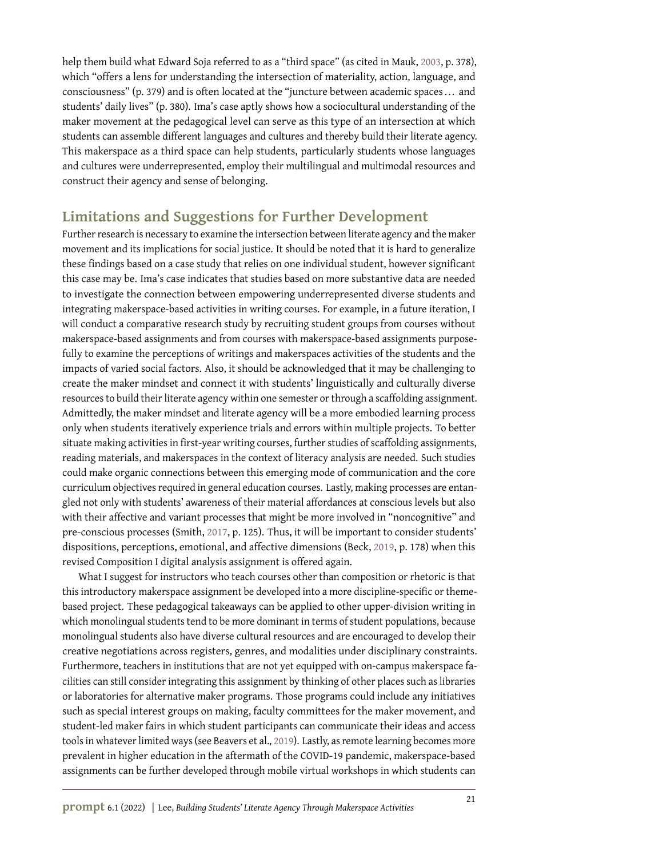help them build what Edward Soja referred to as a "third space" (as cited in Mauk, [2003,](#page-12-8) p. 378), which "offers a lens for understanding the intersection of materiality, action, language, and consciousness" (p. 379) and is often located at the "juncture between academic spaces ... and students' daily lives" (p. 380). Ima's case aptly shows how a sociocultural understanding of the maker movement at the pedagogical level can serve as this type of an intersection at which students can assemble different languages and cultures and thereby build their literate agency. This makerspace as a third space can help students, particularly students whose languages and cultures were underrepresented, employ their multilingual and multimodal resources and construct their agency and sense of belonging.

# **Limitations and Suggestions for Further Development**

Further research is necessary to examine the intersection between literate agency and the maker movement and its implications for social justice. It should be noted that it is hard to generalize these findings based on a case study that relies on one individual student, however significant this case may be. Ima's case indicates that studies based on more substantive data are needed to investigate the connection between empowering underrepresented diverse students and integrating makerspace-based activities in writing courses. For example, in a future iteration, I will conduct a comparative research study by recruiting student groups from courses without makerspace-based assignments and from courses with makerspace-based assignments purposefully to examine the perceptions of writings and makerspaces activities of the students and the impacts of varied social factors. Also, it should be acknowledged that it may be challenging to create the maker mindset and connect it with students' linguistically and culturally diverse resources to build their literate agency within one semester or through a scaffolding assignment. Admittedly, the maker mindset and literate agency will be a more embodied learning process only when students iteratively experience trials and errors within multiple projects. To better situate making activities in first-year writing courses, further studies of scaffolding assignments, reading materials, and makerspaces in the context of literacy analysis are needed. Such studies could make organic connections between this emerging mode of communication and the core curriculum objectives required in general education courses. Lastly, making processes are entangled not only with students' awareness of their material affordances at conscious levels but also with their affective and variant processes that might be more involved in "noncognitive" and pre-conscious processes (Smith, [2017,](#page-12-9) p. 125). Thus, it will be important to consider students' dispositions, perceptions, emotional, and affective dimensions (Beck, [2019,](#page-11-18) p. 178) when this revised Composition I digital analysis assignment is offered again.

What I suggest for instructors who teach courses other than composition or rhetoric is that this introductory makerspace assignment be developed into a more discipline-specific or themebased project. These pedagogical takeaways can be applied to other upper-division writing in which monolingual students tend to be more dominant in terms of student populations, because monolingual students also have diverse cultural resources and are encouraged to develop their creative negotiations across registers, genres, and modalities under disciplinary constraints. Furthermore, teachers in institutions that are not yet equipped with on-campus makerspace facilities can still consider integrating this assignment by thinking of other places such as libraries or laboratories for alternative maker programs. Those programs could include any initiatives such as special interest groups on making, faculty committees for the maker movement, and student-led maker fairs in which student participants can communicate their ideas and access tools in whatever limited ways (see Beavers et al., [2019\)](#page-11-19). Lastly, as remote learning becomes more prevalent in higher education in the aftermath of the COVID-19 pandemic, makerspace-based assignments can be further developed through mobile virtual workshops in which students can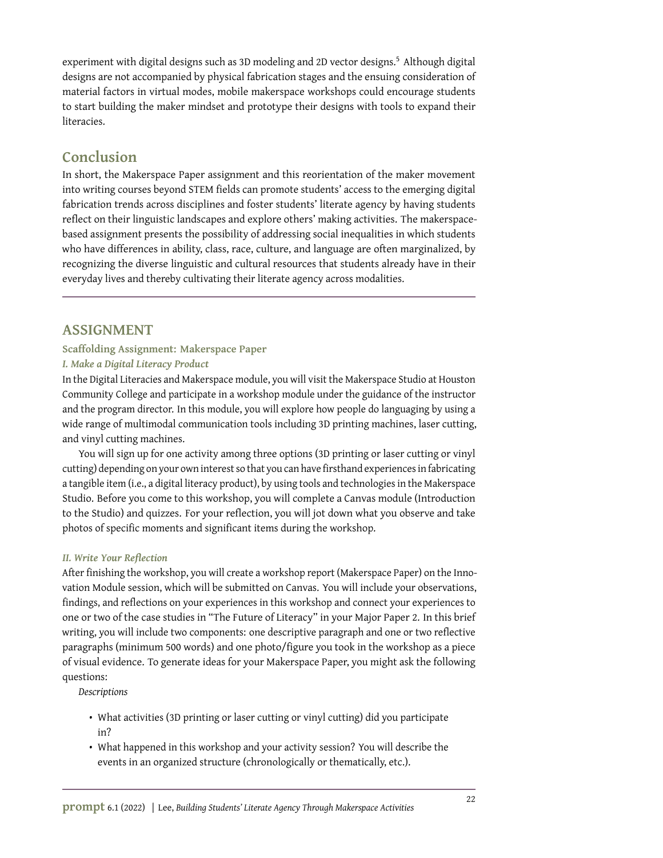experiment with digital designs such as 3D modeling and 2D vector designs.<sup>5</sup> Although digital designs are not accompanied by physical fabrication stages and the ensuing consideration of material factors in virtual modes, mobile makerspace workshops could encourage students to start building the maker mindset and prototype their designs with tools to expand their literacies.

## **Conclusion**

In short, the Makerspace Paper assignment and this reorientation of the maker movement into writing courses beyond STEM fields can promote students' access to the emerging digital fabrication trends across disciplines and foster students' literate agency by having students reflect on their linguistic landscapes and explore others' making activities. The makerspacebased assignment presents the possibility of addressing social inequalities in which students who have differences in ability, class, race, culture, and language are often marginalized, by recognizing the diverse linguistic and cultural resources that students already have in their everyday lives and thereby cultivating their literate agency across modalities.

## **ASSIGNMENT**

#### **Scaffolding Assignment: Makerspace Paper**

#### *I. Make a Digital Literacy Product*

In the Digital Literacies and Makerspace module, you will visit the Makerspace Studio at Houston Community College and participate in a workshop module under the guidance of the instructor and the program director. In this module, you will explore how people do languaging by using a wide range of multimodal communication tools including 3D printing machines, laser cutting, and vinyl cutting machines.

You will sign up for one activity among three options (3D printing or laser cutting or vinyl cutting) depending on your own interest so that you can have firsthand experiences in fabricating a tangible item (i.e., a digital literacy product), by using tools and technologies in the Makerspace Studio. Before you come to this workshop, you will complete a Canvas module (Introduction to the Studio) and quizzes. For your reflection, you will jot down what you observe and take photos of specific moments and significant items during the workshop.

#### *II. Write Your Reflection*

After finishing the workshop, you will create a workshop report (Makerspace Paper) on the Innovation Module session, which will be submitted on Canvas. You will include your observations, findings, and reflections on your experiences in this workshop and connect your experiences to one or two of the case studies in "The Future of Literacy" in your Major Paper 2. In this brief writing, you will include two components: one descriptive paragraph and one or two reflective paragraphs (minimum 500 words) and one photo/figure you took in the workshop as a piece of visual evidence. To generate ideas for your Makerspace Paper, you might ask the following questions:

*Descriptions*

- What activities (3D printing or laser cutting or vinyl cutting) did you participate in?
- What happened in this workshop and your activity session? You will describe the events in an organized structure (chronologically or thematically, etc.).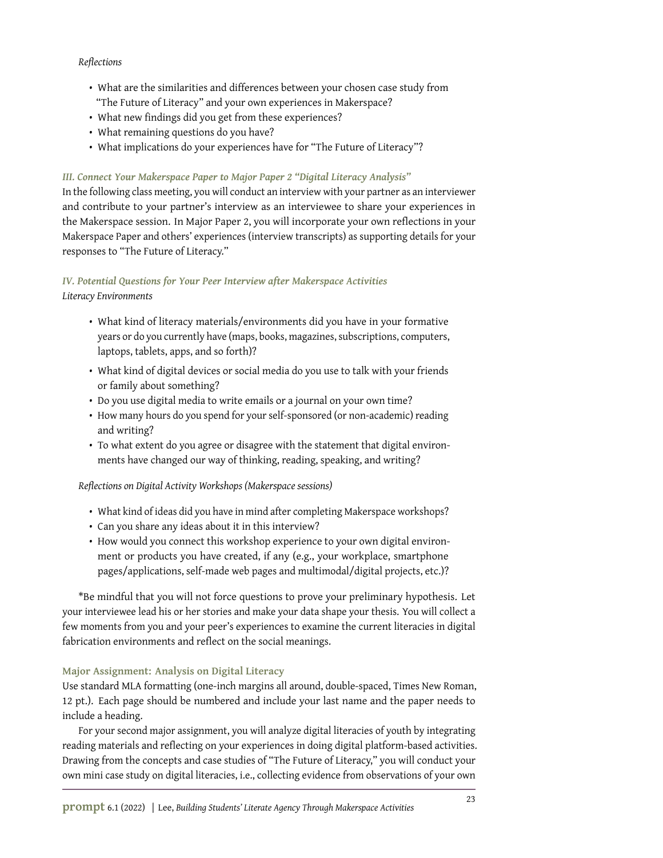#### *Reflections*

- What are the similarities and differences between your chosen case study from "The Future of Literacy" and your own experiences in Makerspace?
- What new findings did you get from these experiences?
- What remaining questions do you have?
- What implications do your experiences have for "The Future of Literacy"?

#### *III. Connect Your Makerspace Paper to Major Paper 2 "Digital Literacy Analysis"*

In the following class meeting, you will conduct an interview with your partner as an interviewer and contribute to your partner's interview as an interviewee to share your experiences in the Makerspace session. In Major Paper 2, you will incorporate your own reflections in your Makerspace Paper and others' experiences (interview transcripts) as supporting details for your responses to "The Future of Literacy."

#### *IV. Potential Questions for Your Peer Interview after Makerspace Activities Literacy Environments*

- What kind of literacy materials/environments did you have in your formative years or do you currently have (maps, books, magazines, subscriptions, computers, laptops, tablets, apps, and so forth)?
- What kind of digital devices or social media do you use to talk with your friends or family about something?
- Do you use digital media to write emails or a journal on your own time?
- How many hours do you spend for your self-sponsored (or non-academic) reading and writing?
- To what extent do you agree or disagree with the statement that digital environments have changed our way of thinking, reading, speaking, and writing?

#### *Reflections on Digital Activity Workshops (Makerspace sessions)*

- What kind of ideas did you have in mind after completing Makerspace workshops?
- Can you share any ideas about it in this interview?
- How would you connect this workshop experience to your own digital environment or products you have created, if any (e.g., your workplace, smartphone pages/applications, self-made web pages and multimodal/digital projects, etc.)?

\*Be mindful that you will not force questions to prove your preliminary hypothesis. Let your interviewee lead his or her stories and make your data shape your thesis. You will collect a few moments from you and your peer's experiences to examine the current literacies in digital fabrication environments and reflect on the social meanings.

#### **Major Assignment: Analysis on Digital Literacy**

Use standard MLA formatting (one-inch margins all around, double-spaced, Times New Roman, 12 pt.). Each page should be numbered and include your last name and the paper needs to include a heading.

For your second major assignment, you will analyze digital literacies of youth by integrating reading materials and reflecting on your experiences in doing digital platform-based activities. Drawing from the concepts and case studies of "The Future of Literacy," you will conduct your own mini case study on digital literacies, i.e., collecting evidence from observations of your own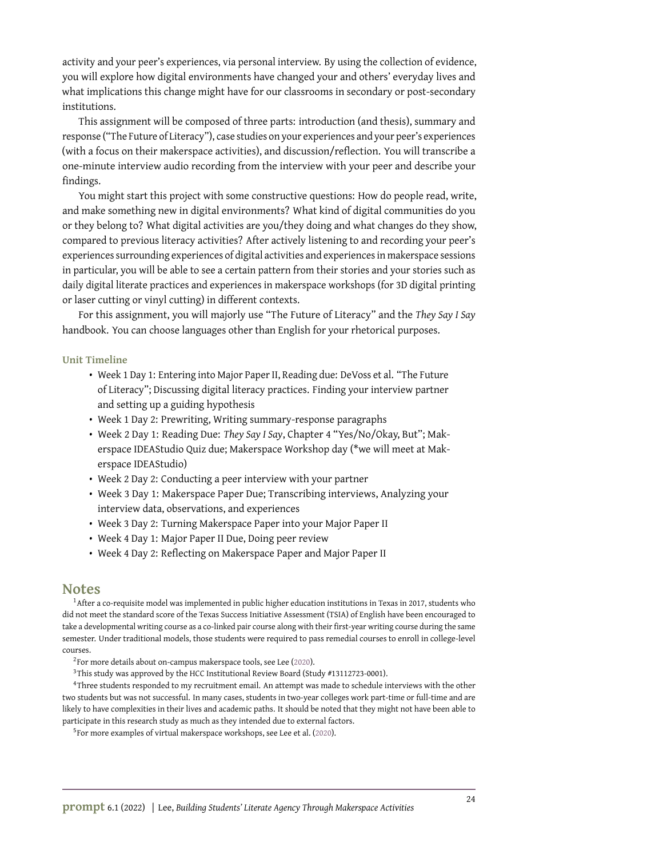activity and your peer's experiences, via personal interview. By using the collection of evidence, you will explore how digital environments have changed your and others' everyday lives and what implications this change might have for our classrooms in secondary or post-secondary institutions.

This assignment will be composed of three parts: introduction (and thesis), summary and response ("The Future of Literacy"), case studies on your experiences and your peer's experiences (with a focus on their makerspace activities), and discussion/reflection. You will transcribe a one-minute interview audio recording from the interview with your peer and describe your findings.

You might start this project with some constructive questions: How do people read, write, and make something new in digital environments? What kind of digital communities do you or they belong to? What digital activities are you/they doing and what changes do they show, compared to previous literacy activities? After actively listening to and recording your peer's experiences surrounding experiences of digital activities and experiences in makerspace sessions in particular, you will be able to see a certain pattern from their stories and your stories such as daily digital literate practices and experiences in makerspace workshops (for 3D digital printing or laser cutting or vinyl cutting) in different contexts.

For this assignment, you will majorly use "The Future of Literacy" and the *They Say I Say* handbook. You can choose languages other than English for your rhetorical purposes.

#### **Unit Timeline**

- Week 1 Day 1: Entering into Major Paper II, Reading due: DeVoss et al. "The Future of Literacy"; Discussing digital literacy practices. Finding your interview partner and setting up a guiding hypothesis
- Week 1 Day 2: Prewriting, Writing summary-response paragraphs
- Week 2 Day 1: Reading Due: *They Say I Say*, Chapter 4 "Yes/No/Okay, But"; Makerspace IDEAStudio Quiz due; Makerspace Workshop day (\*we will meet at Makerspace IDEAStudio)
- Week 2 Day 2: Conducting a peer interview with your partner
- Week 3 Day 1: Makerspace Paper Due; Transcribing interviews, Analyzing your interview data, observations, and experiences
- Week 3 Day 2: Turning Makerspace Paper into your Major Paper II
- Week 4 Day 1: Major Paper II Due, Doing peer review
- Week 4 Day 2: Reflecting on Makerspace Paper and Major Paper II

#### **Notes**

<sup>1</sup>After a co-requisite model was implemented in public higher education institutions in Texas in 2017, students who did not meet the standard score of the Texas Success Initiative Assessment (TSIA) of English have been encouraged to take a developmental writing course as a co-linked pair course along with their first-year writing course during the same semester. Under traditional models, those students were required to pass remedial courses to enroll in college-level courses.

- $2$ For more details about on-campus makerspace tools, see Lee [\(2020\)](#page-11-20).
- <sup>3</sup>This study was approved by the HCC Institutional Review Board (Study #13112723-0001).

<sup>4</sup>Three students responded to my recruitment email. An attempt was made to schedule interviews with the other two students but was not successful. In many cases, students in two-year colleges work part-time or full-time and are likely to have complexities in their lives and academic paths. It should be noted that they might not have been able to participate in this research study as much as they intended due to external factors.

<sup>5</sup>For more examples of virtual makerspace workshops, see Lee et al. [\(2020\)](#page-11-21).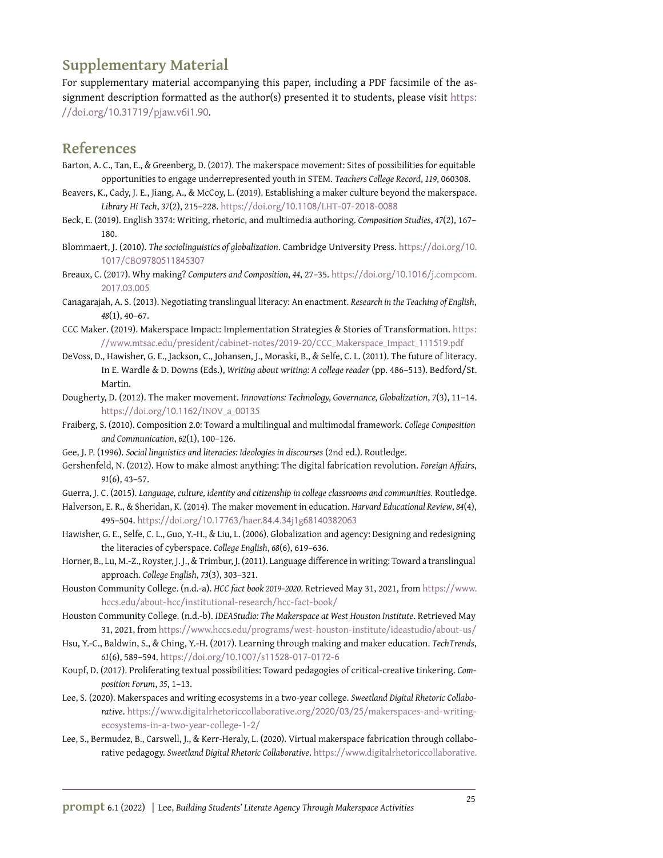# **Supplementary Material**

For supplementary material accompanying this paper, including a PDF facsimile of the assignment description formatted as the author(s) presented it to students, please visit [https:](https://doi.org/10.31719/pjaw.v6i1.90) [//doi.org/](https://doi.org/10.31719/pjaw.v6i1.90)10.31719/pjaw.v6i1.90.

## **References**

- <span id="page-11-6"></span>Barton, A. C., Tan, E., & Greenberg, D. (2017). The makerspace movement: Sites of possibilities for equitable opportunities to engage underrepresented youth in STEM. *Teachers College Record*, *119*, 060308.
- <span id="page-11-19"></span>Beavers, K., Cady, J. E., Jiang, A., & McCoy, L. (2019). Establishing a maker culture beyond the makerspace. *Library Hi Tech*, *37*(2), 215–228. [https://doi.org/](https://doi.org/10.1108/LHT-07-2018-0088)10.1108/LHT-07-2018-0088
- <span id="page-11-18"></span>Beck, E. (2019). English 3374: Writing, rhetoric, and multimedia authoring. *Composition Studies*, *47*(2), 167– 180.
- <span id="page-11-9"></span>Blommaert, J. (2010). *The sociolinguistics of globalization*. Cambridge University Press. [https://doi.org/](https://doi.org/10.1017/CBO9780511845307)10. 1017/CBO[9780511845307](https://doi.org/10.1017/CBO9780511845307)
- <span id="page-11-3"></span>Breaux, C. (2017). Why making? *Computers and Composition*, *44*, 27–35. [https://doi.org/](https://doi.org/10.1016/j.compcom.2017.03.005)10.1016/j.compcom. [2017](https://doi.org/10.1016/j.compcom.2017.03.005).03.005
- <span id="page-11-10"></span>Canagarajah, A. S. (2013). Negotiating translingual literacy: An enactment. *Research in the Teaching of English*, *48*(1), 40–67.
- <span id="page-11-7"></span>CCC Maker. (2019). Makerspace Impact: Implementation Strategies & Stories of Transformation. [https:](https://www.mtsac.edu/president/cabinet-notes/2019-20/CCC_Makerspace_Impact_111519.pdf) [//www.mtsac.edu/president/cabinet-notes/](https://www.mtsac.edu/president/cabinet-notes/2019-20/CCC_Makerspace_Impact_111519.pdf)2019-20/CCC\_Makerspace\_Impact\_111519.pdf
- <span id="page-11-16"></span>DeVoss, D., Hawisher, G. E., Jackson, C., Johansen, J., Moraski, B., & Selfe, C. L. (2011). The future of literacy. In E. Wardle & D. Downs (Eds.), *Writing about writing: A college reader* (pp. 486–513). Bedford/St. Martin.
- <span id="page-11-2"></span>Dougherty, D. (2012). The maker movement. *Innovations: Technology, Governance, Globalization*, *7*(3), 11–14. [https://doi.org/](https://doi.org/10.1162/INOV_a_00135)10.1162/INOV\_a\_00135
- <span id="page-11-11"></span>Fraiberg, S. (2010). Composition 2.0: Toward a multilingual and multimodal framework. *College Composition and Communication*, *62*(1), 100–126.
- <span id="page-11-14"></span>Gee, J. P. (1996). *Social linguistics and literacies: Ideologies in discourses* (2nd ed.). Routledge.
- <span id="page-11-4"></span>Gershenfeld, N. (2012). How to make almost anything: The digital fabrication revolution. *Foreign Affairs*, *91*(6), 43–57.
- <span id="page-11-12"></span>Guerra, J. C. (2015). *Language, culture, identity and citizenship in college classrooms and communities*. Routledge.
- <span id="page-11-5"></span>Halverson, E. R., & Sheridan, K. (2014). The maker movement in education. *Harvard Educational Review*, *84*(4), 495–504. [https://doi.org/](https://doi.org/10.17763/haer.84.4.34j1g68140382063)10.17763/haer.84.4.34j1g68140382063
- <span id="page-11-8"></span>Hawisher, G. E., Selfe, C. L., Guo, Y.-H., & Liu, L. (2006). Globalization and agency: Designing and redesigning the literacies of cyberspace. *College English*, *68*(6), 619–636.
- <span id="page-11-13"></span>Horner, B., Lu, M.-Z., Royster, J. J., & Trimbur, J. (2011). Language difference in writing: Toward a translingual approach. *College English*, *73*(3), 303–321.
- <span id="page-11-15"></span>Houston Community College. (n.d.-a). *HCC fact book 2019–2020*. Retrieved May 31, 2021, from [https://www.](https://www.hccs.edu/about-hcc/institutional-research/hcc-fact-book/) [hccs.edu/about-hcc/institutional-research/hcc-fact-book/](https://www.hccs.edu/about-hcc/institutional-research/hcc-fact-book/)
- <span id="page-11-17"></span>Houston Community College. (n.d.-b). *IDEAStudio: The Makerspace at West Houston Institute*. Retrieved May 31, 2021, from <https://www.hccs.edu/programs/west-houston-institute/ideastudio/about-us/>
- <span id="page-11-1"></span>Hsu, Y.-C., Baldwin, S., & Ching, Y.-H. (2017). Learning through making and maker education. *TechTrends*, *61*(6), 589–594. [https://doi.org/](https://doi.org/10.1007/s11528-017-0172-6)10.1007/s11528-017-0172-6
- <span id="page-11-0"></span>Koupf, D. (2017). Proliferating textual possibilities: Toward pedagogies of critical-creative tinkering. *Composition Forum*, *35*, 1–13.
- <span id="page-11-20"></span>Lee, S. (2020). Makerspaces and writing ecosystems in a two-year college. *Sweetland Digital Rhetoric Collaborative*. [https://www.digitalrhetoriccollaborative.org/](https://www.digitalrhetoriccollaborative.org/2020/03/25/makerspaces-and-writing-ecosystems-in-a-two-year-college-1-2/)2020/03/25/makerspaces-and-writing[ecosystems-in-a-two-year-college-](https://www.digitalrhetoriccollaborative.org/2020/03/25/makerspaces-and-writing-ecosystems-in-a-two-year-college-1-2/)1-2/
- <span id="page-11-21"></span>Lee, S., Bermudez, B., Carswell, J., & Kerr-Heraly, L. (2020). Virtual makerspace fabrication through collaborative pedagogy. *Sweetland Digital Rhetoric Collaborative*. [https://www.digitalrhetoriccollaborative.](https://www.digitalrhetoriccollaborative.org/2020/06/05/virtual-makerspace-fabrication-through-collaborative-pedagogy-in-a-two-year-college-2-2/)